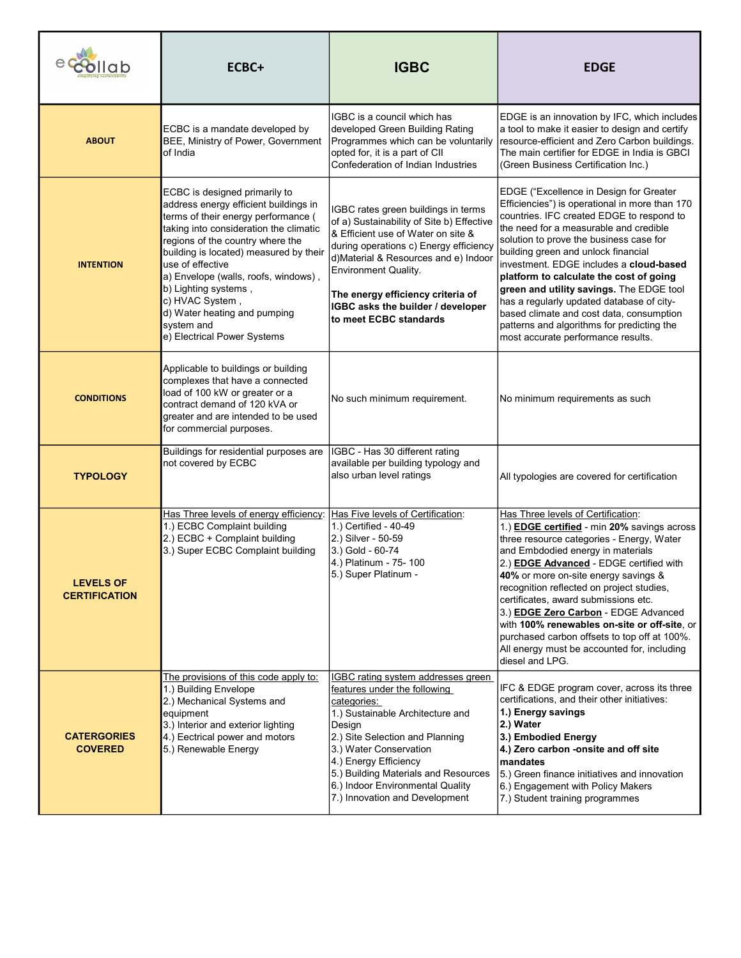| llab                                     | ECBC+                                                                                                                                                                                                                                                                                                                                                                                                                     | <b>IGBC</b>                                                                                                                                                                                                                                                                                                                                 | <b>EDGE</b>                                                                                                                                                                                                                                                                                                                                                                                                                                                                                                                                                                       |
|------------------------------------------|---------------------------------------------------------------------------------------------------------------------------------------------------------------------------------------------------------------------------------------------------------------------------------------------------------------------------------------------------------------------------------------------------------------------------|---------------------------------------------------------------------------------------------------------------------------------------------------------------------------------------------------------------------------------------------------------------------------------------------------------------------------------------------|-----------------------------------------------------------------------------------------------------------------------------------------------------------------------------------------------------------------------------------------------------------------------------------------------------------------------------------------------------------------------------------------------------------------------------------------------------------------------------------------------------------------------------------------------------------------------------------|
| <b>ABOUT</b>                             | ECBC is a mandate developed by<br>BEE, Ministry of Power, Government<br>of India                                                                                                                                                                                                                                                                                                                                          | IGBC is a council which has<br>developed Green Building Rating<br>Programmes which can be voluntarily<br>opted for, it is a part of CII<br>Confederation of Indian Industries                                                                                                                                                               | EDGE is an innovation by IFC, which includes<br>a tool to make it easier to design and certify<br>resource-efficient and Zero Carbon buildings.<br>The main certifier for EDGE in India is GBCI<br>(Green Business Certification Inc.)                                                                                                                                                                                                                                                                                                                                            |
| <b>INTENTION</b>                         | ECBC is designed primarily to<br>address energy efficient buildings in<br>terms of their energy performance (<br>taking into consideration the climatic<br>regions of the country where the<br>building is located) measured by their<br>use of effective<br>a) Envelope (walls, roofs, windows),<br>b) Lighting systems,<br>c) HVAC System,<br>d) Water heating and pumping<br>system and<br>e) Electrical Power Systems | IGBC rates green buildings in terms<br>of a) Sustainability of Site b) Effective<br>& Efficient use of Water on site &<br>during operations c) Energy efficiency<br>d)Material & Resources and e) Indoor<br><b>Environment Quality.</b><br>The energy efficiency criteria of<br>IGBC asks the builder / developer<br>to meet ECBC standards | EDGE ("Excellence in Design for Greater<br>Efficiencies") is operational in more than 170<br>countries. IFC created EDGE to respond to<br>the need for a measurable and credible<br>solution to prove the business case for<br>building green and unlock financial<br>investment. EDGE includes a cloud-based<br>platform to calculate the cost of going<br>green and utility savings. The EDGE tool<br>has a regularly updated database of city-<br>based climate and cost data, consumption<br>patterns and algorithms for predicting the<br>most accurate performance results. |
| <b>CONDITIONS</b>                        | Applicable to buildings or building<br>complexes that have a connected<br>load of 100 kW or greater or a<br>contract demand of 120 kVA or<br>greater and are intended to be used<br>for commercial purposes.                                                                                                                                                                                                              | No such minimum requirement.                                                                                                                                                                                                                                                                                                                | No minimum requirements as such                                                                                                                                                                                                                                                                                                                                                                                                                                                                                                                                                   |
| <b>TYPOLOGY</b>                          | Buildings for residential purposes are<br>not covered by ECBC                                                                                                                                                                                                                                                                                                                                                             | IGBC - Has 30 different rating<br>available per building typology and<br>also urban level ratings                                                                                                                                                                                                                                           | All typologies are covered for certification                                                                                                                                                                                                                                                                                                                                                                                                                                                                                                                                      |
| <b>LEVELS OF</b><br><b>CERTIFICATION</b> | Has Three levels of energy efficiency:<br>1.) ECBC Complaint building<br>2.) ECBC + Complaint building<br>3.) Super ECBC Complaint building                                                                                                                                                                                                                                                                               | Has Five levels of Certification:<br>1.) Certified - 40-49<br>2.) Silver - 50-59<br>3.) Gold - 60-74<br>4.) Platinum - 75- 100<br>5.) Super Platinum -                                                                                                                                                                                      | Has Three levels of Certification:<br>1.) <b>EDGE certified</b> - min 20% savings across<br>three resource categories - Energy, Water<br>and Embdodied energy in materials<br>2.) <b>EDGE Advanced</b> - EDGE certified with<br>40% or more on-site energy savings &<br>recognition reflected on project studies,<br>certificates, award submissions etc.<br>3.) EDGE Zero Carbon - EDGE Advanced<br>with 100% renewables on-site or off-site, or<br>purchased carbon offsets to top off at 100%.<br>All energy must be accounted for, including<br>diesel and LPG.               |
| <b>CATERGORIES</b><br><b>COVERED</b>     | The provisions of this code apply to:<br>1.) Building Envelope<br>2.) Mechanical Systems and<br>equipment<br>3.) Interior and exterior lighting<br>4.) Eectrical power and motors<br>5.) Renewable Energy                                                                                                                                                                                                                 | <b>IGBC rating system addresses green</b><br>features under the following<br>categories:<br>1.) Sustainable Architecture and<br>Design<br>2.) Site Selection and Planning<br>3.) Water Conservation<br>4.) Energy Efficiency<br>5.) Building Materials and Resources<br>6.) Indoor Environmental Quality<br>7.) Innovation and Development  | IFC & EDGE program cover, across its three<br>certifications, and their other initiatives:<br>1.) Energy savings<br>2.) Water<br>3.) Embodied Energy<br>4.) Zero carbon -onsite and off site<br>mandates<br>5.) Green finance initiatives and innovation<br>6.) Engagement with Policy Makers<br>7.) Student training programmes                                                                                                                                                                                                                                                  |